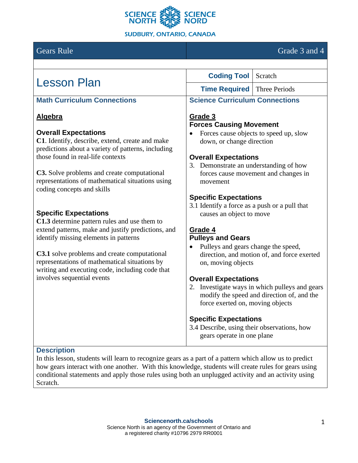

# Gears Rule Grade 3 and 4

| <b>Lesson Plan</b>                                                                                                                                      | <b>Coding Tool</b> Scratch                                                                                                                                      |
|---------------------------------------------------------------------------------------------------------------------------------------------------------|-----------------------------------------------------------------------------------------------------------------------------------------------------------------|
|                                                                                                                                                         | <b>Time Required</b>   Three Periods                                                                                                                            |
| <b>Math Curriculum Connections</b>                                                                                                                      | <b>Science Curriculum Connections</b>                                                                                                                           |
| <b>Algebra</b>                                                                                                                                          | Grade 3<br><b>Forces Causing Movement</b>                                                                                                                       |
| <b>Overall Expectations</b><br>C1. Identify, describe, extend, create and make<br>predictions about a variety of patterns, including                    | Forces cause objects to speed up, slow<br>down, or change direction                                                                                             |
| those found in real-life contexts                                                                                                                       | <b>Overall Expectations</b><br>3. Demonstrate an understanding of how                                                                                           |
| C3. Solve problems and create computational<br>representations of mathematical situations using<br>coding concepts and skills                           | forces cause movement and changes in<br>movement                                                                                                                |
| <b>Specific Expectations</b><br>C1.3 determine pattern rules and use them to                                                                            | <b>Specific Expectations</b><br>3.1 Identify a force as a push or a pull that<br>causes an object to move                                                       |
| extend patterns, make and justify predictions, and<br>identify missing elements in patterns                                                             | Grade 4<br><b>Pulleys and Gears</b><br>Pulleys and gears change the speed,<br>$\bullet$                                                                         |
| <b>C3.1</b> solve problems and create computational<br>representations of mathematical situations by<br>writing and executing code, including code that | direction, and motion of, and force exerted<br>on, moving objects                                                                                               |
| involves sequential events                                                                                                                              | <b>Overall Expectations</b><br>2. Investigate ways in which pulleys and gears<br>modify the speed and direction of, and the<br>force exerted on, moving objects |
|                                                                                                                                                         | <b>Specific Expectations</b><br>3.4 Describe, using their observations, how<br>gears operate in one plane                                                       |

In this lesson, students will learn to recognize gears as a part of a pattern which allow us to predict how gears interact with one another. With this knowledge, students will create rules for gears using conditional statements and apply those rules using both an unplugged activity and an activity using Scratch.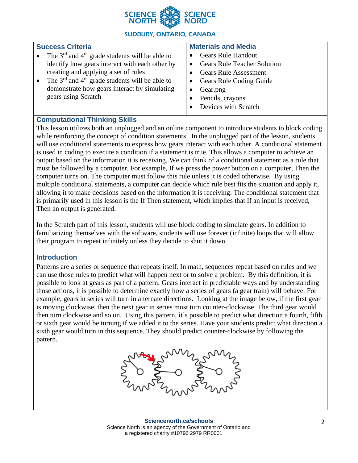

#### **Success Criteria** • The  $3<sup>rd</sup>$  and  $4<sup>th</sup>$  grade students will be able to identify how gears interact with each other by creating and applying a set of rules • The  $3<sup>rd</sup>$  and  $4<sup>th</sup>$  grade students will be able to demonstrate how gears interact by simulating gears using Scratch **Materials and Media** • Gears Rule Handout • Gears Rule Teacher Solution • Gears Rule Assessment • Gears Rule Coding Guide • Gear.png • Pencils, crayons Devices with Scratch

# **Computational Thinking Skills**

This lesson utilizes both an unplugged and an online component to introduce students to block coding while reinforcing the concept of condition statements. In the unplugged part of the lesson, students will use conditional statements to express how gears interact with each other. A conditional statement is used in coding to execute a condition if a statement is true. This allows a computer to achieve an output based on the information it is receiving. We can think of a conditional statement as a rule that must be followed by a computer. For example, If we press the power button on a computer, Then the computer turns on. The computer must follow this rule unless it is coded otherwise. By using multiple conditional statements, a computer can decide which rule best fits the situation and apply it, allowing it to make decisions based on the information it is receiving. The conditional statement that is primarily used in this lesson is the If Then statement, which implies that If an input is received, Then an output is generated.

In the Scratch part of this lesson, students will use block coding to simulate gears. In addition to familiarizing themselves with the software, students will use forever (infinite) loops that will allow their program to repeat infinitely unless they decide to shut it down.

#### **Introduction**

Patterns are a series or sequence that repeats itself. In math, sequences repeat based on rules and we can use those rules to predict what will happen next or to solve a problem. By this definition, it is possible to look at gears as part of a pattern. Gears interact in predictable ways and by understanding those actions, it is possible to determine exactly how a series of gears (a gear train) will behave. For example, gears in series will turn in alternate directions. Looking at the image below, if the first gear is moving clockwise, then the next gear in series must turn counter-clockwise. The third gear would then turn clockwise and so on. Using this pattern, it's possible to predict what direction a fourth, fifth or sixth gear would be turning if we added it to the series. Have your students predict what direction a sixth gear would turn in this sequence. They should predict counter-clockwise by following the pattern.

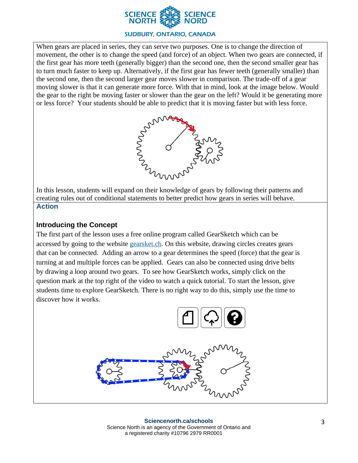

When gears are placed in series, they can serve two purposes. One is to change the direction of movement, the other is to change the speed (and force) of an object. When two gears are connected, if the first gear has more teeth (generally bigger) than the second one, then the second smaller gear has to turn much faster to keep up. Alternatively, if the first gear has fewer teeth (generally smaller) than the second one, then the second larger gear moves slower in comparison. The trade-off of a gear moving slower is that it can generate more force. With that in mind, look at the image below. Would the gear to the right be moving faster or slower than the gear on the left? Would it be generating more or less force? Your students should be able to predict that it is moving faster but with less force.



In this lesson, students will expand on their knowledge of gears by following their patterns and creating rules out of conditional statements to better predict how gears in series will behave. **Action**

# **Introducing the Concept**

The first part of the lesson uses a free online program called GearSketch which can be accessed by going to the website [gearsket.ch.](gearsket.ch) On this website, drawing circles creates gears that can be connected. Adding an arrow to a gear determines the speed (force) that the gear is turning at and multiple forces can be applied. Gears can also be connected using drive belts by drawing a loop around two gears. To see how GearSketch works, simply click on the question mark at the top right of the video to watch a quick tutorial. To start the lesson, give students time to explore GearSketch. There is no right way to do this, simply use the time to discover how it works.

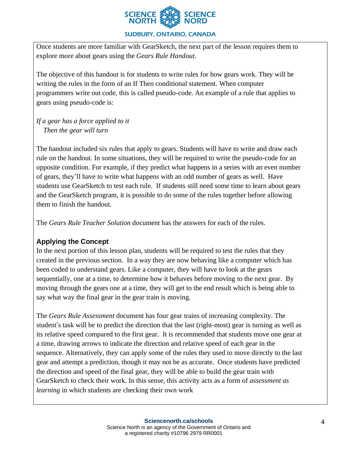

Once students are more familiar with GearSketch, the next part of the lesson requires them to explore more about gears using the *Gears Rule Handout*.

The objective of this handout is for students to write rules for how gears work. They will be writing the rules in the form of an If Then conditional statement. When computer programmers write out code, this is called pseudo-code. An example of a rule that applies to gears using pseudo-code is:

*If a gear has a force applied to it Then the gear will turn*

The handout included six rules that apply to gears. Students will have to write and draw each rule on the handout. In some situations, they will be required to write the pseudo-code for an opposite condition. For example, if they predict what happens in a series with an even number of gears, they'll have to write what happens with an odd number of gears as well. Have students use GearSketch to test each rule. If students still need some time to learn about gears and the GearSketch program, it is possible to do some of the rules together before allowing them to finish the handout.

The *Gears Rule Teacher Solution* document has the answers for each of the rules.

#### **Applying the Concept**

In the next portion of this lesson plan, students will be required to test the rules that they created in the previous section. In a way they are now behaving like a computer which has been coded to understand gears. Like a computer, they will have to look at the gears sequentially, one at a time, to determine how it behaves before moving to the next gear. By moving through the gears one at a time, they will get to the end result which is being able to say what way the final gear in the gear train is moving.

The *Gears Rule Assessment* document has four gear trains of increasing complexity. The student's task will be to predict the direction that the last (right-most) gear is turning as well as its relative speed compared to the first gear. It is recommended that students move one gear at a time, drawing arrows to indicate the direction and relative speed of each gear in the sequence. Alternatively, they can apply some of the rules they used to move directly to the last gear and attempt a prediction, though it may not be as accurate. Once students have predicted the direction and speed of the final gear, they will be able to build the gear train with GearSketch to check their work. In this sense, this activity acts as a form of *assessment as learning* in which students are checking their own work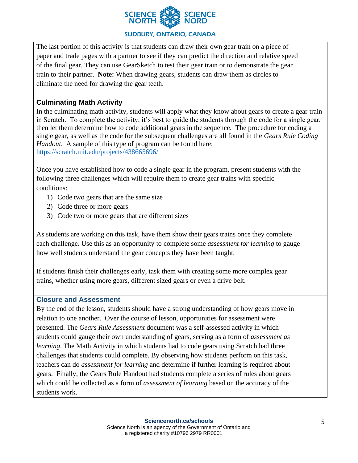

The last portion of this activity is that students can draw their own gear train on a piece of paper and trade pages with a partner to see if they can predict the direction and relative speed of the final gear. They can use GearSketch to test their gear train or to demonstrate the gear train to their partner. **Note:** When drawing gears, students can draw them as circles to eliminate the need for drawing the gear teeth.

# **Culminating Math Activity**

In the culminating math activity, students will apply what they know about gears to create a gear train in Scratch. To complete the activity, it's best to guide the students through the code for a single gear, then let them determine how to code additional gears in the sequence. The procedure for coding a single gear, as well as the code for the subsequent challenges are all found in the *Gears Rule Coding Handout*. A sample of this type of program can be found here: <https://scratch.mit.edu/projects/438665696/>

Once you have established how to code a single gear in the program, present students with the following three challenges which will require them to create gear trains with specific conditions:

- 1) Code two gears that are the same size
- 2) Code three or more gears
- 3) Code two or more gears that are different sizes

As students are working on this task, have them show their gears trains once they complete each challenge. Use this as an opportunity to complete some *assessment for learning* to gauge how well students understand the gear concepts they have been taught.

If students finish their challenges early, task them with creating some more complex gear trains, whether using more gears, different sized gears or even a drive belt.

#### **Closure and Assessment**

By the end of the lesson, students should have a strong understanding of how gears move in relation to one another. Over the course of lesson, opportunities for assessment were presented. The *Gears Rule Assessment* document was a self-assessed activity in which students could gauge their own understanding of gears, serving as a form of *assessment as learning*. The Math Activity in which students had to code gears using Scratch had three challenges that students could complete. By observing how students perform on this task, teachers can do *assessment for learning* and determine if further learning is required about gears. Finally, the Gears Rule Handout had students complete a series of rules about gears which could be collected as a form of *assessment of learning* based on the accuracy of the students work.